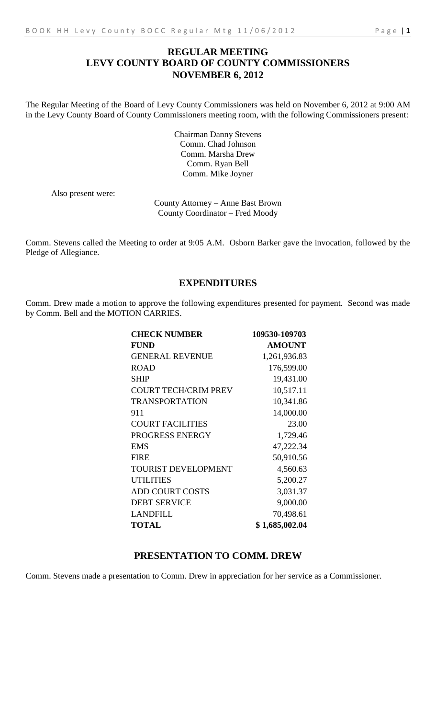# **REGULAR MEETING LEVY COUNTY BOARD OF COUNTY COMMISSIONERS NOVEMBER 6, 2012**

The Regular Meeting of the Board of Levy County Commissioners was held on November 6, 2012 at 9:00 AM in the Levy County Board of County Commissioners meeting room, with the following Commissioners present:

> Chairman Danny Stevens Comm. Chad Johnson Comm. Marsha Drew Comm. Ryan Bell Comm. Mike Joyner

Also present were:

County Attorney – Anne Bast Brown County Coordinator – Fred Moody

Comm. Stevens called the Meeting to order at 9:05 A.M. Osborn Barker gave the invocation, followed by the Pledge of Allegiance.

# **EXPENDITURES**

Comm. Drew made a motion to approve the following expenditures presented for payment. Second was made by Comm. Bell and the MOTION CARRIES.

| <b>CHECK NUMBER</b>         | 109530-109703  |
|-----------------------------|----------------|
| <b>FUND</b>                 | <b>AMOUNT</b>  |
| <b>GENERAL REVENUE</b>      | 1,261,936.83   |
| <b>ROAD</b>                 | 176,599.00     |
| <b>SHIP</b>                 | 19,431.00      |
| <b>COURT TECH/CRIM PREV</b> | 10,517.11      |
| <b>TRANSPORTATION</b>       | 10,341.86      |
| 911                         | 14,000.00      |
| <b>COURT FACILITIES</b>     | 23.00          |
| PROGRESS ENERGY             | 1,729.46       |
| <b>EMS</b>                  | 47,222.34      |
| <b>FIRE</b>                 | 50,910.56      |
| <b>TOURIST DEVELOPMENT</b>  | 4,560.63       |
| <b>UTILITIES</b>            | 5,200.27       |
| <b>ADD COURT COSTS</b>      | 3,031.37       |
| <b>DEBT SERVICE</b>         | 9,000.00       |
| <b>LANDFILL</b>             | 70,498.61      |
| <b>TOTAL</b>                | \$1,685,002.04 |

# **PRESENTATION TO COMM. DREW**

Comm. Stevens made a presentation to Comm. Drew in appreciation for her service as a Commissioner.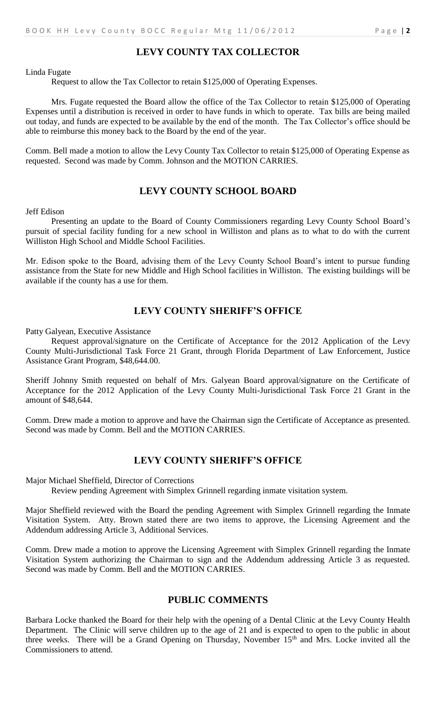# **LEVY COUNTY TAX COLLECTOR**

Linda Fugate

Request to allow the Tax Collector to retain \$125,000 of Operating Expenses.

Mrs. Fugate requested the Board allow the office of the Tax Collector to retain \$125,000 of Operating Expenses until a distribution is received in order to have funds in which to operate. Tax bills are being mailed out today, and funds are expected to be available by the end of the month. The Tax Collector's office should be able to reimburse this money back to the Board by the end of the year.

Comm. Bell made a motion to allow the Levy County Tax Collector to retain \$125,000 of Operating Expense as requested. Second was made by Comm. Johnson and the MOTION CARRIES.

## **LEVY COUNTY SCHOOL BOARD**

Jeff Edison

Presenting an update to the Board of County Commissioners regarding Levy County School Board's pursuit of special facility funding for a new school in Williston and plans as to what to do with the current Williston High School and Middle School Facilities.

Mr. Edison spoke to the Board, advising them of the Levy County School Board's intent to pursue funding assistance from the State for new Middle and High School facilities in Williston. The existing buildings will be available if the county has a use for them.

# **LEVY COUNTY SHERIFF'S OFFICE**

Patty Galyean, Executive Assistance

Request approval/signature on the Certificate of Acceptance for the 2012 Application of the Levy County Multi-Jurisdictional Task Force 21 Grant, through Florida Department of Law Enforcement, Justice Assistance Grant Program, \$48,644.00.

Sheriff Johnny Smith requested on behalf of Mrs. Galyean Board approval/signature on the Certificate of Acceptance for the 2012 Application of the Levy County Multi-Jurisdictional Task Force 21 Grant in the amount of \$48,644.

Comm. Drew made a motion to approve and have the Chairman sign the Certificate of Acceptance as presented. Second was made by Comm. Bell and the MOTION CARRIES.

## **LEVY COUNTY SHERIFF'S OFFICE**

Major Michael Sheffield, Director of Corrections

Review pending Agreement with Simplex Grinnell regarding inmate visitation system.

Major Sheffield reviewed with the Board the pending Agreement with Simplex Grinnell regarding the Inmate Visitation System. Atty. Brown stated there are two items to approve, the Licensing Agreement and the Addendum addressing Article 3, Additional Services.

Comm. Drew made a motion to approve the Licensing Agreement with Simplex Grinnell regarding the Inmate Visitation System authorizing the Chairman to sign and the Addendum addressing Article 3 as requested. Second was made by Comm. Bell and the MOTION CARRIES.

## **PUBLIC COMMENTS**

Barbara Locke thanked the Board for their help with the opening of a Dental Clinic at the Levy County Health Department. The Clinic will serve children up to the age of 21 and is expected to open to the public in about three weeks. There will be a Grand Opening on Thursday, November 15<sup>th</sup> and Mrs. Locke invited all the Commissioners to attend.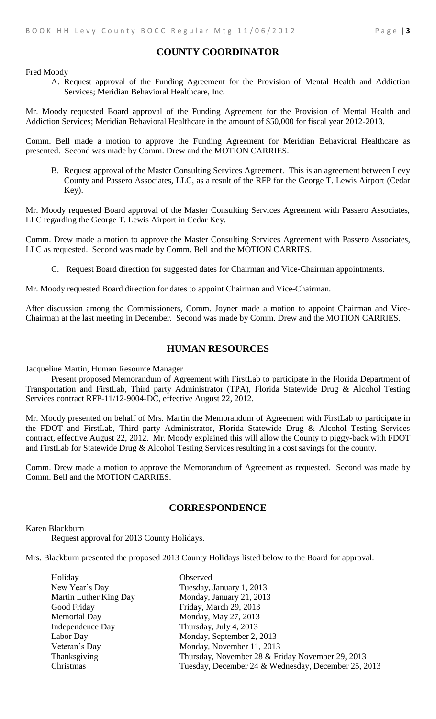## **COUNTY COORDINATOR**

Fred Moody

A. Request approval of the Funding Agreement for the Provision of Mental Health and Addiction Services; Meridian Behavioral Healthcare, Inc.

Mr. Moody requested Board approval of the Funding Agreement for the Provision of Mental Health and Addiction Services; Meridian Behavioral Healthcare in the amount of \$50,000 for fiscal year 2012-2013.

Comm. Bell made a motion to approve the Funding Agreement for Meridian Behavioral Healthcare as presented. Second was made by Comm. Drew and the MOTION CARRIES.

B. Request approval of the Master Consulting Services Agreement. This is an agreement between Levy County and Passero Associates, LLC, as a result of the RFP for the George T. Lewis Airport (Cedar Key).

Mr. Moody requested Board approval of the Master Consulting Services Agreement with Passero Associates, LLC regarding the George T. Lewis Airport in Cedar Key.

Comm. Drew made a motion to approve the Master Consulting Services Agreement with Passero Associates, LLC as requested. Second was made by Comm. Bell and the MOTION CARRIES.

C. Request Board direction for suggested dates for Chairman and Vice-Chairman appointments.

Mr. Moody requested Board direction for dates to appoint Chairman and Vice-Chairman.

After discussion among the Commissioners, Comm. Joyner made a motion to appoint Chairman and Vice-Chairman at the last meeting in December. Second was made by Comm. Drew and the MOTION CARRIES.

#### **HUMAN RESOURCES**

Jacqueline Martin, Human Resource Manager

Present proposed Memorandum of Agreement with FirstLab to participate in the Florida Department of Transportation and FirstLab, Third party Administrator (TPA), Florida Statewide Drug & Alcohol Testing Services contract RFP-11/12-9004-DC, effective August 22, 2012.

Mr. Moody presented on behalf of Mrs. Martin the Memorandum of Agreement with FirstLab to participate in the FDOT and FirstLab, Third party Administrator, Florida Statewide Drug & Alcohol Testing Services contract, effective August 22, 2012. Mr. Moody explained this will allow the County to piggy-back with FDOT and FirstLab for Statewide Drug & Alcohol Testing Services resulting in a cost savings for the county.

Comm. Drew made a motion to approve the Memorandum of Agreement as requested. Second was made by Comm. Bell and the MOTION CARRIES.

#### **CORRESPONDENCE**

Karen Blackburn

Request approval for 2013 County Holidays.

Mrs. Blackburn presented the proposed 2013 County Holidays listed below to the Board for approval.

| Holiday                | Observed                                            |
|------------------------|-----------------------------------------------------|
| New Year's Day         | Tuesday, January 1, 2013                            |
| Martin Luther King Day | Monday, January 21, 2013                            |
| Good Friday            | Friday, March 29, 2013                              |
| <b>Memorial Day</b>    | Monday, May 27, 2013                                |
| Independence Day       | Thursday, July 4, 2013                              |
| Labor Day              | Monday, September 2, 2013                           |
| Veteran's Day          | Monday, November 11, 2013                           |
| Thanksgiving           | Thursday, November 28 & Friday November 29, 2013    |
| Christmas              | Tuesday, December 24 & Wednesday, December 25, 2013 |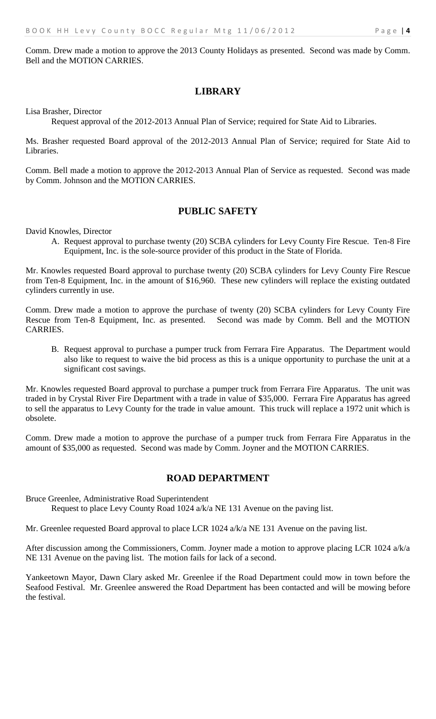# **LIBRARY**

Lisa Brasher, Director

Request approval of the 2012-2013 Annual Plan of Service; required for State Aid to Libraries.

Ms. Brasher requested Board approval of the 2012-2013 Annual Plan of Service; required for State Aid to Libraries.

Comm. Bell made a motion to approve the 2012-2013 Annual Plan of Service as requested. Second was made by Comm. Johnson and the MOTION CARRIES.

# **PUBLIC SAFETY**

David Knowles, Director

A. Request approval to purchase twenty (20) SCBA cylinders for Levy County Fire Rescue. Ten-8 Fire Equipment, Inc. is the sole-source provider of this product in the State of Florida.

Mr. Knowles requested Board approval to purchase twenty (20) SCBA cylinders for Levy County Fire Rescue from Ten-8 Equipment, Inc. in the amount of \$16,960. These new cylinders will replace the existing outdated cylinders currently in use.

Comm. Drew made a motion to approve the purchase of twenty (20) SCBA cylinders for Levy County Fire Rescue from Ten-8 Equipment, Inc. as presented. Second was made by Comm. Bell and the MOTION CARRIES.

B. Request approval to purchase a pumper truck from Ferrara Fire Apparatus. The Department would also like to request to waive the bid process as this is a unique opportunity to purchase the unit at a significant cost savings.

Mr. Knowles requested Board approval to purchase a pumper truck from Ferrara Fire Apparatus. The unit was traded in by Crystal River Fire Department with a trade in value of \$35,000. Ferrara Fire Apparatus has agreed to sell the apparatus to Levy County for the trade in value amount. This truck will replace a 1972 unit which is obsolete.

Comm. Drew made a motion to approve the purchase of a pumper truck from Ferrara Fire Apparatus in the amount of \$35,000 as requested. Second was made by Comm. Joyner and the MOTION CARRIES.

# **ROAD DEPARTMENT**

Bruce Greenlee, Administrative Road Superintendent Request to place Levy County Road 1024 a/k/a NE 131 Avenue on the paving list.

Mr. Greenlee requested Board approval to place LCR 1024 a/k/a NE 131 Avenue on the paving list.

After discussion among the Commissioners, Comm. Joyner made a motion to approve placing LCR 1024 a/k/a NE 131 Avenue on the paving list. The motion fails for lack of a second.

Yankeetown Mayor, Dawn Clary asked Mr. Greenlee if the Road Department could mow in town before the Seafood Festival. Mr. Greenlee answered the Road Department has been contacted and will be mowing before the festival.